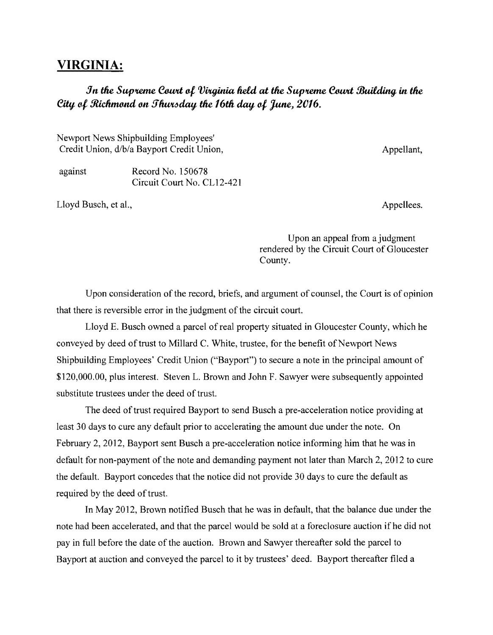## **VIRGINIA:**

*in* **tfre Sup'telfU!, &wd 4** *VVuJinia fldd* at **tfre Sup'telfU!, &wd** *9Juildim;J* in tfre *City of Richmond on Thursday the 16th day of June, 2016.* 

Newport News Shipbuilding Employees' Credit Union, d/b/a Bayport Credit Union, Appellant, Appellant,

against Record No. 150678 Circuit Court No. CL12-421

Lloyd Busch, et al., Appellees.

Upon an appeal from a judgment rendered by the Circuit Court of Gloucester County.

Upon consideration of the record, briefs, and argument of counsel, the Court is of opinion that there is reversible error in the judgment of the circuit court.

Lloyd E. Busch owned a parcel of real property situated in Gloucester County, which he conveyed by deed of trust to Millard C. White, trustee, for the benefit of Newport News Shipbuilding Employees' Credit Union ("Bayport") to secure a note in the principal amount of \$120,000.00, plus interest. Steven L. Brown and John F. Sawyer were subsequently appointed substitute trustees under the deed of trust.

The deed of trust required Bayport to send Busch a pre-acceleration notice providing at least 30 days to cure any default prior to accelerating the amount due under the note. On February 2, 2012, Bayport sent Busch a pre-acceleration notice informing him that he was in default for non-payment of the note and demanding payment not later than March 2, 2012 to cure the default. Bayport concedes that the notice did not provide 30 days to cure the default as required by the deed of trust.

In May 2012, Brown notified Busch that he was in default, that the balance due under the note had been accelerated, and that the parcel would be sold at a foreclosure auction ifhe did not pay in full before the date of the auction. Brown and Sawyer thereafter sold the parcel to Bayport at auction and conveyed the parcel to it by trustees' deed. Bayport thereafter filed a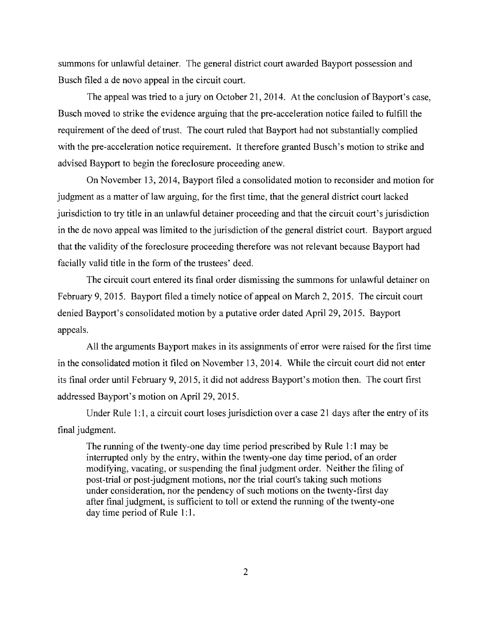summons for unlawful detainer. The general district court awarded Bayport possession and Busch filed a de novo appeal in the circuit court.

The appeal was tried to a jury on October 21, 2014. At the conclusion of Bayport's case, Busch moved to strike the evidence arguing that the pre-acceleration notice failed to fulfill the requirement of the deed of trust. The court ruled that Bayport had not substantially complied with the pre-acceleration notice requirement. It therefore granted Busch's motion to strike and advised Bayport to begin the foreclosure proceeding anew.

On November 13, 2014, Bayport filed a consolidated motion to reconsider and motion for judgment as a matter of law arguing, for the first time, that the general district court lacked jurisdiction to try title in an unlawful detainer proceeding and that the circuit court's jurisdiction in the de novo appeal was limited to the jurisdiction of the general district court. Bayport argued that the validity of the foreclosure proceeding therefore was not relevant because Bayport had facially valid title in the form of the trustees' deed.

The circuit court entered its final order dismissing the summons for unlawful detainer on February 9,2015. Bayport filed a timely notice of appeal on March 2, 2015. The circuit court denied Bayport's consolidated motion by a putative order dated April 29, 2015. Bayport appeals.

All the arguments Bayport makes in its assignments of error were raised for the first time in the consolidated motion it filed on November 13, 2014. While the circuit court did not enter its final order until February 9,2015, it did not address Bayport's motion then. The court first addressed Bayport's motion on April 29, 2015.

Under Rule 1:1, a circuit court loses jurisdiction over a case 21 days after the entry of its final judgment.

The running of the twenty-one day time period prescribed by Rule 1:1 may be interrupted only by the entry, within the twenty-one day time period, of an order modifying, vacating, or suspending the final judgment order. Neither the filing of post-trial or post-judgment motions, nor the trial court's taking such motions under consideration, nor the pendency of such motions on the twenty-first day after final judgment, is sufficient to toll or extend the running of the twenty-one day time period of Rule 1:1.

2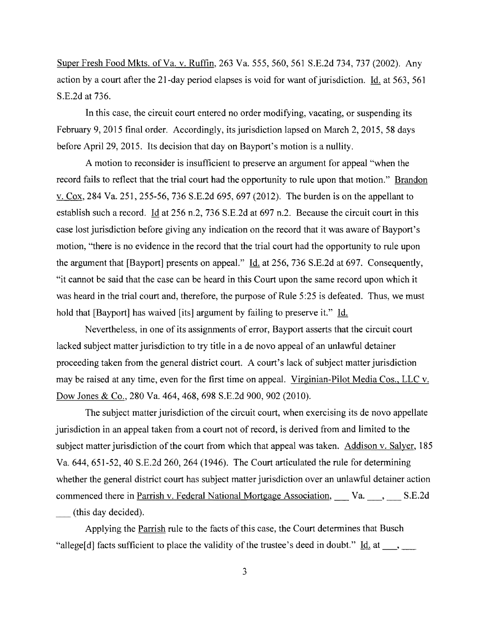Super Fresh Food Mkts. of Va. v. Ruffin, 263 Va. 555,560,561 S.E.2d 734, 737 (2002). Any action by a court after the 21-day period elapses is void for want of jurisdiction. Id. at 563, 561 S.E.2d at 736.

In this case, the circuit court entered no order modifying, vacating, or suspending its February 9, 2015 final order. Accordingly, its jurisdiction lapsed on March 2, 2015, 58 days before April 29, 2015. Its decision that day on Bayport's motion is a nullity.

A motion to reconsider is insufficient to preserve an argument for appeal "when the record fails to reflect that the trial court had the opportunity to rule upon that motion." Brandon v. Cox, 284 Va. 251, 255-56, 736 S.E.2d 695, 697 (2012). The burden is on the appellant to establish such a record. Id at 256 n.2, 736 S.E.2d at 697 n.2. Because the circuit court in this case lost jurisdiction before giving any indication on the record that it was aware of Bayport's motion, "there is no evidence in the record that the trial court had the opportunity to rule upon the argument that [Bayport] presents on appeal." Id. at 256, 736 S.E.2d at 697. Consequently, "it cannot be said that the case can be heard in this Court upon the same record upon which it was heard in the trial court and, therefore, the purpose of Rule 5:25 is defeated. Thus, we must hold that [Bayport] has waived [its] argument by failing to preserve it." Id.

Nevertheless, in one of its assignments of error, Bayport asserts that the circuit court lacked subject matter jurisdiction to try title in a de novo appeal of an unlawful detainer proceeding taken from the general district court. A court's lack of subject matter jurisdiction may be raised at any time, even for the first time on appeal. Virginian-Pilot Media Cos., LLC v. Dow Jones & Co., 280 Va. 464, 468, 698 S.E.2d 900, 902 (2010).

The subject matter jurisdiction of the circuit court, when exercising its de novo appellate jurisdiction in an appeal taken from a court not of record, is derived from and limited to the subject matter jurisdiction of the court from which that appeal was taken. Addison v. Salyer, 185 Va. 644, 651-52, 40 S.E.2d 260, 264 (1946). The Court articulated the rule for determining whether the general district court has subject matter jurisdiction over an unlawful detainer action commenced there in Parrish v. Federal National Mortgage Association, Va. S.E.2d (this day decided).

Applying the Parrish rule to the facts of this case, the Court determines that Busch "allege[d] facts sufficient to place the validity of the trustee's deed in doubt."  $\underline{Id}$  at  $\underline{\hspace{1cm}}$ ,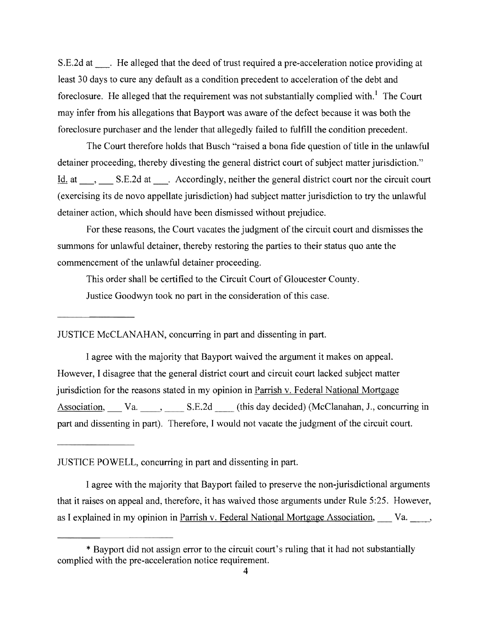S.E.2d at Fig. 3. He alleged that the deed of trust required a pre-acceleration notice providing at least 30 days to cure any default as a condition precedent to acceleration of the debt and foreclosure. He alleged that the requirement was not substantially complied with.<sup>1</sup> The Court may infer from his allegations that Bayport was aware of the defect because it was both the foreclosure purchaser and the lender that allegedly failed to fulfill the condition precedent.

The Court therefore holds that Busch "raised a bona fide question of title in the unlawful detainer proceeding, thereby divesting the general district court of subject matter jurisdiction." Id. at \_, \_ S.E.2d at \_. Accordingly, neither the general district court nor the circuit court (exercising its de novo appellate jurisdiction) had subject matter jurisdiction to try the unlawful detainer action, which should have been dismissed without prejudice.

For these reasons, the Court vacates the judgment of the circuit court and dismisses the summons for unlawful detainer, thereby restoring the parties to their status quo ante the commencement of the unlawful detainer proceeding.

This order shall be certified to the Circuit Court of Gloucester County. Justice Goodwyn took no part in the consideration of this case.

JUSTICE McCLANAHAN, concurring in part and dissenting in part.

I agree with the majority that Bayport waived the argument it makes on appeal. However, I disagree that the general district court and circuit court lacked subject matter jurisdiction for the reasons stated in my opinion in Parrish v. Federal National Mortgage Association, Va. , S.E.2d (this day decided) (McClanahan, J., concurring in part and dissenting in part). Therefore, I would not vacate the judgment of the circuit court.

JUSTICE POWELL, concurring in part and dissenting in part.

I agree with the majority that Bayport failed to preserve the non-jurisdictional arguments that it raises on appeal and, therefore, it has waived those arguments under Rule 5:25. However, as I explained in my opinion in Parrish v. Federal National Mortgage Association, Va.

<sup>\*</sup> Bayport did not assign error to the circuit court's ruling that it had not substantially complied with the pre-acceleration notice requirement.